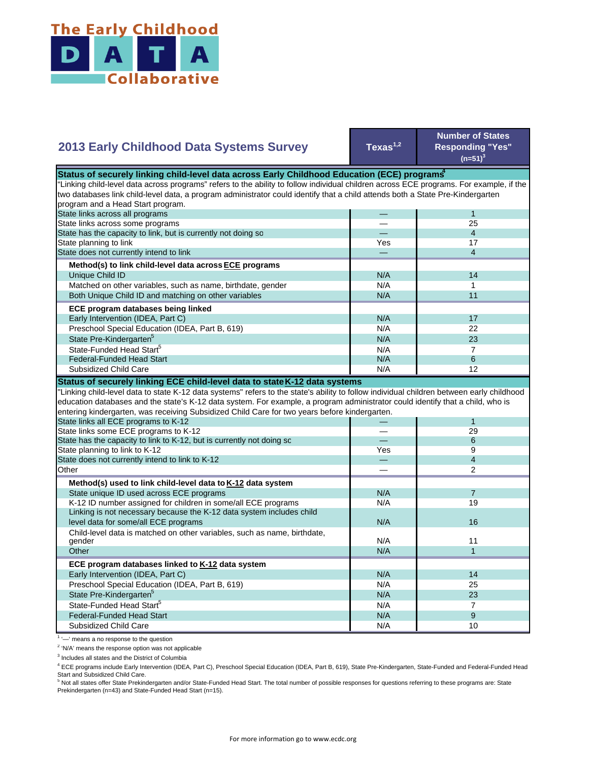

## **2013 Early Childhood Data Systems Survey**

**Texas1,2**

**Number of States Responding "Yes"**   $(n=51)^3$ 

| Status of securely linking child-level data across Early Childhood Education (ECE) programs                                               |     |                         |  |
|-------------------------------------------------------------------------------------------------------------------------------------------|-----|-------------------------|--|
| "Linking child-level data across programs" refers to the ability to follow individual children across ECE programs. For example, if the   |     |                         |  |
| two databases link child-level data, a program administrator could identify that a child attends both a State Pre-Kindergarten            |     |                         |  |
| program and a Head Start program.                                                                                                         |     |                         |  |
| State links across all programs                                                                                                           |     | $\mathbf{1}$            |  |
| State links across some programs                                                                                                          |     | 25                      |  |
| State has the capacity to link, but is currently not doing so                                                                             |     | $\overline{4}$          |  |
| State planning to link                                                                                                                    | Yes | 17                      |  |
| State does not currently intend to link                                                                                                   |     | $\overline{\mathbf{4}}$ |  |
| Method(s) to link child-level data across ECE programs                                                                                    |     |                         |  |
| Unique Child ID                                                                                                                           | N/A | 14                      |  |
| Matched on other variables, such as name, birthdate, gender                                                                               | N/A | 1                       |  |
| Both Unique Child ID and matching on other variables                                                                                      | N/A | 11                      |  |
| ECE program databases being linked                                                                                                        |     |                         |  |
| Early Intervention (IDEA, Part C)                                                                                                         | N/A | 17                      |  |
| Preschool Special Education (IDEA, Part B, 619)                                                                                           | N/A | 22                      |  |
| State Pre-Kindergarten <sup>5</sup>                                                                                                       | N/A | 23                      |  |
| State-Funded Head Start <sup>5</sup>                                                                                                      | N/A | $\overline{7}$          |  |
| <b>Federal-Funded Head Start</b>                                                                                                          | N/A | 6                       |  |
| Subsidized Child Care                                                                                                                     | N/A | 12                      |  |
| Status of securely linking ECE child-level data to state K-12 data systems                                                                |     |                         |  |
| "Linking child-level data to state K-12 data systems" refers to the state's ability to follow individual children between early childhood |     |                         |  |
| education databases and the state's K-12 data system. For example, a program administrator could identify that a child, who is            |     |                         |  |
| entering kindergarten, was receiving Subsidized Child Care for two years before kindergarten.                                             |     |                         |  |
| State links all ECE programs to K-12                                                                                                      |     | $\mathbf{1}$            |  |
| State links some ECE programs to K-12                                                                                                     |     | 29                      |  |
| State has the capacity to link to K-12, but is currently not doing so                                                                     |     | 6                       |  |
| State planning to link to K-12                                                                                                            | Yes | 9                       |  |
| State does not currently intend to link to K-12                                                                                           |     | $\overline{4}$          |  |
| Other                                                                                                                                     |     | 2                       |  |
| Method(s) used to link child-level data to K-12 data system                                                                               |     |                         |  |
| State unique ID used across ECE programs                                                                                                  | N/A | $\overline{7}$          |  |
| K-12 ID number assigned for children in some/all ECE programs                                                                             | N/A | 19                      |  |
| Linking is not necessary because the K-12 data system includes child                                                                      |     |                         |  |
| level data for some/all ECE programs                                                                                                      | N/A | 16                      |  |
| Child-level data is matched on other variables, such as name, birthdate,                                                                  |     |                         |  |
| gender                                                                                                                                    | N/A | 11                      |  |
| Other                                                                                                                                     | N/A | $\mathbf{1}$            |  |
| ECE program databases linked to K-12 data system                                                                                          |     |                         |  |
| Early Intervention (IDEA, Part C)                                                                                                         | N/A | 14                      |  |
| Preschool Special Education (IDEA, Part B, 619)                                                                                           | N/A | 25                      |  |
| State Pre-Kindergarten <sup>5</sup>                                                                                                       | N/A | 23                      |  |
| State-Funded Head Start <sup>5</sup>                                                                                                      | N/A | $\overline{7}$          |  |
| <b>Federal-Funded Head Start</b>                                                                                                          | N/A | 9                       |  |
| <b>Subsidized Child Care</b>                                                                                                              | N/A | 10                      |  |

 $1$   $-$  means a no response to the question

<sup>2</sup> 'N/A' means the response option was not applicable

<sup>3</sup> Includes all states and the District of Columbia

4 ECE programs include Early Intervention (IDEA, Part C), Preschool Special Education (IDEA, Part B, 619), State Pre-Kindergarten, State-Funded and Federal-Funded Head

Start and Subsidized Child Care.<br><sup>5</sup> Not all states offer State Prekindergarten and/or State-Funded Head Start. The total number of possible responses for questions referring to these programs are: State Prekindergarten (n=43) and State-Funded Head Start (n=15).